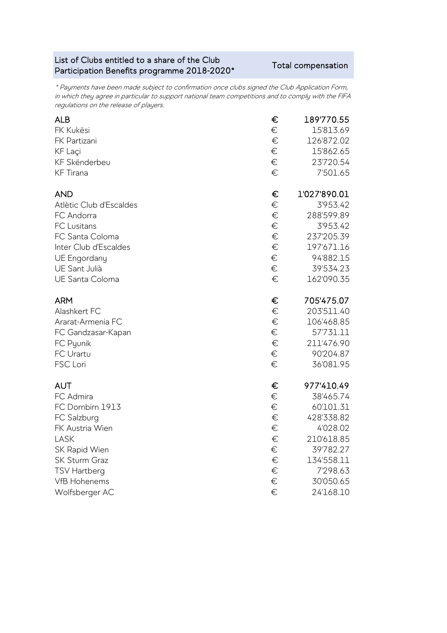## List of Clubs entitled to a share of the Club List of Clubs entitied to a share of the Club<br>Participation Benefits programme 2018-2020\* Total compensation

\* Payments have been made subject to confirmation once clubs signed the Club Application Form, in which they agree in particular to support national team competitions and to comply with the FIFA regulations on the release of players.

| <b>ALB</b>              | €     | 189'770.55   |
|-------------------------|-------|--------------|
| FK Kukësi               | €     | 15'813.69    |
| FK Partizani            | €     | 126'872.02   |
| KF Laçi                 | €     | 15'862.65    |
| KF Skënderbeu           | €     | 23'720.54    |
| <b>KF</b> Tirana        | €     | 7'501.65     |
| <b>AND</b>              | €     | 1'027'890.01 |
| Atlètic Club d'Escaldes | €     | 3'953.42     |
| FC Andorra              | €     | 288'599.89   |
| <b>FC Lusitans</b>      | $\in$ | 3'953.42     |
| FC Santa Coloma         | €     | 237'205.39   |
| Inter Club d'Escaldes   | €     | 197'671.16   |
| UE Engordany            | €     | 94'882.15    |
| UE Sant Julià           | €     | 39'534.23    |
| <b>UE Santa Coloma</b>  | €     | 162'090.35   |
| <b>ARM</b>              | €     | 705'475.07   |
| Alashkert FC            | €     | 203'511.40   |
| Ararat-Armenia FC       | €     | 106'468.85   |
| FC Gandzasar-Kapan      | €     | 57'731.11    |
| FC Pyunik               | €     | 211'476.90   |
| FC Urartu               | €     | 90'204.87    |
| FSC Lori                | €     | 36'081.95    |
| <b>AUT</b>              | €     | 977'410.49   |
| FC Admira               | €     | 38'465.74    |
| FC Dornbirn 1913        | €     | 60'101.31    |
| FC Salzburg             | €     | 428'338.82   |
| FK Austria Wien         | $\in$ | 4'028.02     |
| LASK                    | €     | 210'618.85   |
| SK Rapid Wien           | €     | 39'782.27    |
| SK Sturm Graz           | €     | 134'558.11   |
| <b>TSV Hartberg</b>     | $\in$ | 7'298.63     |
| <b>VfB Hohenems</b>     | €     | 30'050.65    |
| Wolfsberger AC          | €     | 24'168.10    |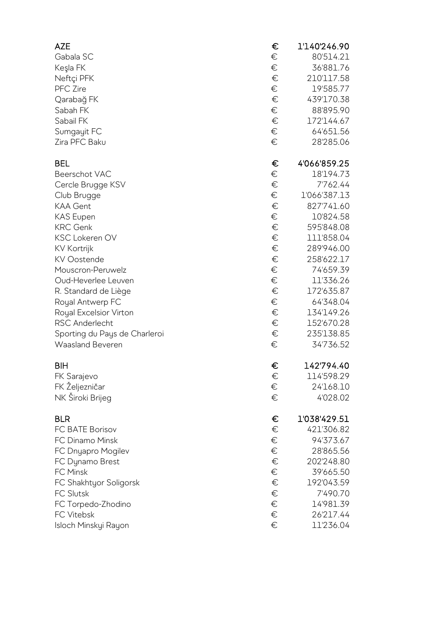| <b>AZE</b>                    | €     | 1'140'246.90 |
|-------------------------------|-------|--------------|
| Gabala SC                     | €     | 80'514.21    |
| Keşla FK                      | €     | 36'881.76    |
| Neftçi PFK                    | €     | 210'117.58   |
| <b>PFC</b> Zire               | €     | 19'585.77    |
| Qarabağ FK                    | €     | 439'170.38   |
| Sabah FK                      | €     | 88'895.90    |
| Sabail FK                     | €     | 172'144.67   |
| Sumgayit FC                   | €     | 64'651.56    |
| Zira PFC Baku                 | €     | 28'285.06    |
| <b>BEL</b>                    | €     | 4'066'859.25 |
| Beerschot VAC                 | €     | 18'194.73    |
| Cercle Brugge KSV             | $\in$ | 7'762.44     |
| Club Brugge                   | €     | 1'066'387.13 |
| <b>KAA Gent</b>               | €     | 827'741.60   |
| <b>KAS Eupen</b>              | €     | 10'824.58    |
| <b>KRC Genk</b>               | €     | 595'848.08   |
| <b>KSC Lokeren OV</b>         | €     | 111'858.04   |
| <b>KV Kortrijk</b>            | €     | 289'946.00   |
| KV Oostende                   | €     | 258'622.17   |
| Mouscron-Peruwelz             | €     | 74'659.39    |
| Oud-Heverlee Leuven           | €     | 11'336.26    |
| R. Standard de Liège          | €     | 172'635.87   |
| Royal Antwerp FC              | €     | 64'348.04    |
| Royal Excelsior Virton        | €     | 134'149.26   |
| <b>RSC Anderlecht</b>         | €     | 152'670.28   |
| Sporting du Pays de Charleroi | €     | 235'138.85   |
| Waasland Beveren              | €     | 34'736.52    |
| <b>BIH</b>                    | €     | 142'794.40   |
| FK Sarajevo                   | €     | 114'598.29   |
| FK Željezničar                | €     | 24'168.10    |
| NK Široki Brijeg              | €     | 4'028.02     |
| <b>BLR</b>                    | €     | 1'038'429.51 |
| FC BATE Borisov               | €     | 421'306.82   |
| FC Dinamo Minsk               | €     | 94'373.67    |
| FC Dnyapro Mogilev            | €     | 28'865.56    |
| FC Dynamo Brest               | €     | 202'248.80   |
| FC Minsk                      | €     | 39'665.50    |
| FC Shakhtyor Soligorsk        | €     | 192'043.59   |
| <b>FC Slutsk</b>              | €     | 7'490.70     |
| FC Torpedo-Zhodino            | €     | 14'981.39    |
| <b>FC Vitebsk</b>             | €     | 26'217.44    |
| Isloch Minskyi Rayon          | €     | 11'236.04    |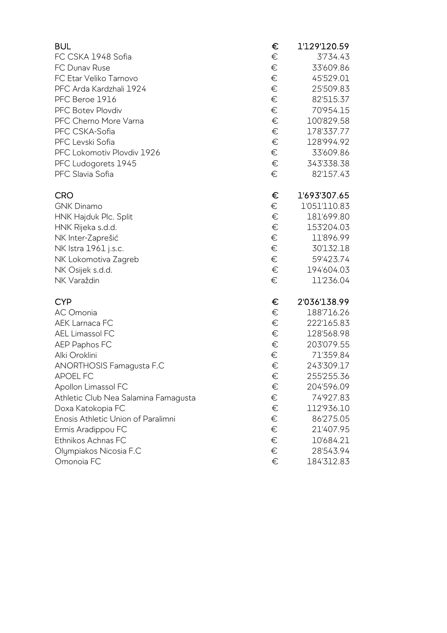| <b>BUL</b>                           | € | 1'129'120.59 |
|--------------------------------------|---|--------------|
| FC CSKA 1948 Sofia                   | € | 3'734.43     |
| FC Dunav Ruse                        | € | 33'609.86    |
| FC Etar Veliko Tarnovo               | € | 45'529.01    |
| PFC Arda Kardzhali 1924              | € | 25'509.83    |
| PFC Beroe 1916                       | € | 82'515.37    |
| <b>PFC Botev Plovdiv</b>             | € | 70'954.15    |
| PFC Cherno More Varna                | € | 100'829.58   |
| PFC CSKA-Sofia                       | € | 178'337.77   |
| PFC Levski Sofia                     | € | 128'994.92   |
| PFC Lokomotiv Plovdiv 1926           | € | 33'609.86    |
| PFC Ludogorets 1945                  | € | 343'338.38   |
| PFC Slavia Sofia                     | € | 82'157.43    |
| <b>CRO</b>                           | € | 1'693'307.65 |
| <b>GNK Dinamo</b>                    | € | 1'051'110.83 |
| HNK Hajduk Plc. Split                | € | 181'699.80   |
| HNK Rijeka s.d.d.                    | € | 153'204.03   |
| NK Inter-Zaprešić                    | € | 11'896.99    |
| NK Istra 1961 j.s.c.                 | € | 30'132.18    |
| NK Lokomotiva Zagreb                 | € | 59'423.74    |
| NK Osijek s.d.d.                     | € | 194'604.03   |
| NK Varaždin                          | € | 11'236.04    |
| <b>CYP</b>                           | € | 2'036'138.99 |
| AC Omonia                            | € | 188'716.26   |
| <b>AEK Larnaca FC</b>                | € | 222'165.83   |
| AEL Limassol FC                      | € | 128'568.98   |
| AEP Paphos FC                        | € | 203'079.55   |
| Alki Oroklini                        | € | 71'359.84    |
| ANORTHOSIS Famagusta F.C             | € | 243'309.17   |
| APOEL FC                             | € | 255'255.36   |
| Apollon Limassol FC                  | € | 204'596.09   |
| Athletic Club Nea Salamina Famagusta | € | 74'927.83    |
| Doxa Katokopia FC                    | € | 112'936.10   |
| Enosis Athletic Union of Paralimni   | € | 86'275.05    |
| Ermis Aradippou FC                   | € | 21'407.95    |
| Ethnikos Achnas FC                   | € | 10'684.21    |
| Olympiakos Nicosia F.C               | € | 28'543.94    |
| Omonoia FC                           | € | 184'312.83   |
|                                      |   |              |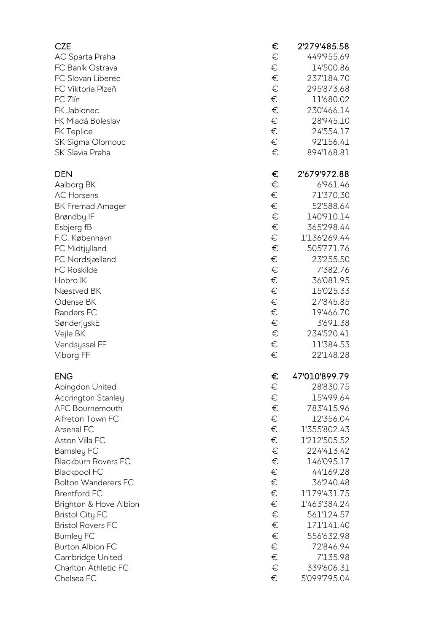| <b>CZE</b>                 | €     | 2'279'485.58  |
|----------------------------|-------|---------------|
| AC Sparta Praha            | €     | 449'955.69    |
| FC Baník Ostrava           | €     | 14'500.86     |
| FC Slovan Liberec          | €     | 237'184.70    |
| FC Viktoria Plzeň          | €     | 295'873.68    |
| FC Zlín                    | €     | 11'680.02     |
| FK Jablonec                | €     | 230'466.14    |
| FK Mladá Boleslav          | $\in$ | 28'945.10     |
| FK Teplice                 | $\in$ | 24'554.17     |
| SK Sigma Olomouc           | $\in$ | 92'156.41     |
| SK Slavia Praha            | €     | 894'168.81    |
| <b>DEN</b>                 | €     | 2'679'972.88  |
| Aalborg BK                 | €     | 6'961.46      |
| <b>AC Horsens</b>          | €     | 71'370.30     |
| <b>BK Fremad Amager</b>    | €     | 52'588.64     |
| Brøndby IF                 | €     | 140'910.14    |
| Esbjerg fB                 | €     | 365'298.44    |
| F.C. København             | $\in$ | 1'136'269.44  |
| FC Midtjylland             | €     | 505'771.76    |
| FC Nordsjælland            | €     | 23'255.50     |
| <b>FC Roskilde</b>         | €     | 7'382.76      |
| Hobro IK                   | $\in$ | 36'081.95     |
| Næstved BK                 | $\in$ | 15'025.33     |
| Odense BK                  | $\in$ | 27'845.85     |
| Randers FC                 | €     | 19'466.70     |
| SønderjyskE                | $\in$ | 3'691.38      |
| Vejle BK                   | $\in$ | 234'520.41    |
| Vendsyssel FF              | $\in$ | 11'384.53     |
| Viborg FF                  | €     | 22'148.28     |
|                            |       |               |
| <b>ENG</b>                 | €     | 47'010'899.79 |
| Abingdon United            | €     | 28'830.75     |
| <b>Accrington Stanley</b>  | $\in$ | 15'499.64     |
| AFC Bournemouth            | $\in$ | 783'415.96    |
| Alfreton Town FC           | $\in$ | 12'356.04     |
| Arsenal FC                 | $\in$ | 1'355'802.43  |
| Aston Villa FC             | $\in$ | 1'212'505.52  |
| <b>Barnsley FC</b>         | €     | 224'413.42    |
| <b>Blackburn Rovers FC</b> | €     | 146'095.17    |
| <b>Blackpool FC</b>        | $\in$ | 44'169.28     |
| <b>Bolton Wanderers FC</b> | $\in$ | 36'240.48     |
| <b>Brentford FC</b>        | $\in$ | 1'179'431.75  |
| Brighton & Hove Albion     | €     | 1'463'384.24  |
| <b>Bristol City FC</b>     | €     | 561'124.57    |
| <b>Bristol Rovers FC</b>   | €     | 171'141.40    |
| <b>Burnley FC</b>          | $\in$ | 556'632.98    |
| <b>Burton Albion FC</b>    | $\in$ | 72'846.94     |
| Cambridge United           | $\in$ | 7'135.98      |
| Charlton Athletic FC       | $\in$ | 339'606.31    |
| Chelsea FC                 | €     | 5'099'795.04  |
|                            |       |               |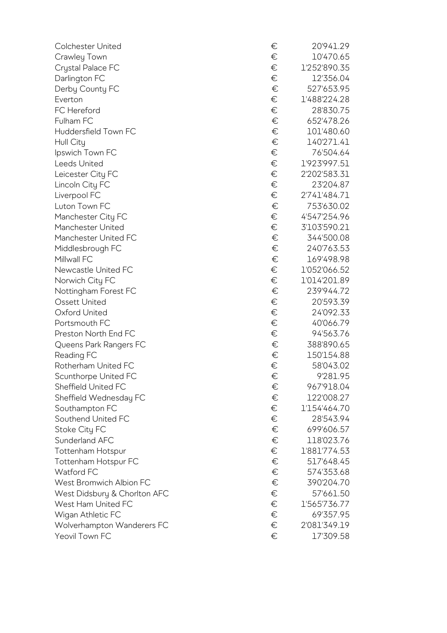| <b>Colchester United</b>     | €     | 20'941.29    |
|------------------------------|-------|--------------|
| Crawley Town                 | €     | 10'470.65    |
| Crystal Palace FC            | €     | 1'252'890.35 |
| Darlington FC                | €     | 12'356.04    |
| Derby County FC              | €     | 527'653.95   |
| Everton                      | €     | 1'488'224.28 |
| FC Hereford                  | €     | 28'830.75    |
| Fulham FC                    | $\in$ | 652'478.26   |
| Huddersfield Town FC         | €     | 101'480.60   |
| Hull City                    | €     | 140'271.41   |
| Ipswich Town FC              | €     | 76'504.64    |
| Leeds United                 | €     | 1'923'997.51 |
| Leicester City FC            | €     | 2'202'583.31 |
| Lincoln City FC              | €     | 23'204.87    |
| Liverpool FC                 | €     | 2'741'484.71 |
| Luton Town FC                | $\in$ | 753'630.02   |
| Manchester City FC           | €     | 4'547'254.96 |
| Manchester United            | €     | 3'103'590.21 |
| Manchester United FC         | $\in$ | 344'500.08   |
| Middlesbrough FC             | €     | 240'763.53   |
| Millwall FC                  | $\in$ | 169'498.98   |
| Newcastle United FC          | €     | 1'052'066.52 |
| Norwich City FC              | €     | 1'014'201.89 |
| Nottingham Forest FC         | $\in$ | 239'944.72   |
| <b>Ossett United</b>         | €     | 20'593.39    |
| Oxford United                | €     | 24'092.33    |
| Portsmouth FC                | €     | 40'066.79    |
| Preston North End FC         | €     | 94'563.76    |
| Queens Park Rangers FC       | $\in$ | 388'890.65   |
| Reading FC                   | €     | 150'154.88   |
| Rotherham United FC          | €     | 58'043.02    |
| Scunthorpe United FC         | €     | 9'281.95     |
| Sheffield United FC          | €     | 967'918.04   |
| Sheffield Wednesday FC       | €     | 122'008.27   |
| Southampton FC               | €     | 1'154'464.70 |
| Southend United FC           | €     | 28'543.94    |
| Stoke City FC                | $\in$ | 699'606.57   |
| Sunderland AFC               | €     | 118'023.76   |
| Tottenham Hotspur            | €     | 1'881'774.53 |
| Tottenham Hotspur FC         | $\in$ | 517'648.45   |
| Watford FC                   | €     | 574'353.68   |
| West Bromwich Albion FC      | $\in$ | 390'204.70   |
| West Didsbury & Chorlton AFC | €     | 57'661.50    |
| West Ham United FC           | €     | 1'565'736.77 |
| Wigan Athletic FC            | €     | 69'357.95    |
| Wolverhampton Wanderers FC   | €     | 2'081'349.19 |
| Yeovil Town FC               | €     | 17'309.58    |

| € | 20'941.29    |
|---|--------------|
| € | 10'470.65    |
|   |              |
| € | 1'252'890.35 |
| € | 12'356.04    |
| € | 527'653.95   |
| € | 1'488'224.28 |
| € | 28'830.75    |
| € | 652'478.26   |
| € | 101'480.60   |
| € | 140'271.41   |
| € | 76'504.64    |
| € | 1'923'997.51 |
| € | 2'202'583.31 |
|   |              |
| € | 23'204.87    |
| € | 2'741'484.71 |
| € | 753'630.02   |
| € | 4'547'254.96 |
| € | 3'103'590.21 |
| € | 344'500.08   |
| € | 240'763.53   |
| € | 169'498.98   |
| € | 1'052'066.52 |
| € | 1'014'201.89 |
| € | 239'944.72   |
| € | 20'593.39    |
| € | 24'092.33    |
|   |              |
| € | 40'066.79    |
| € | 94'563.76    |
| € | 388'890.65   |
| € | 150'154.88   |
| € | 58'043.02    |
| € | 9'281.95     |
| € | 967'918.04   |
| € | 122'008.27   |
| € | 1'154'464.70 |
| € | 28'543.94    |
| € | 699'606.57   |
| € | 118'023.76   |
| € | 1'881'774.53 |
| € | 517'648.45   |
| € | 574'353.68   |
| € |              |
|   | 390'204.70   |
| € | 57'661.50    |
| € | 1'565'736.77 |
| € | 69'357.95    |
| € | 2'081'349.19 |
| € | 17'309.58    |
|   |              |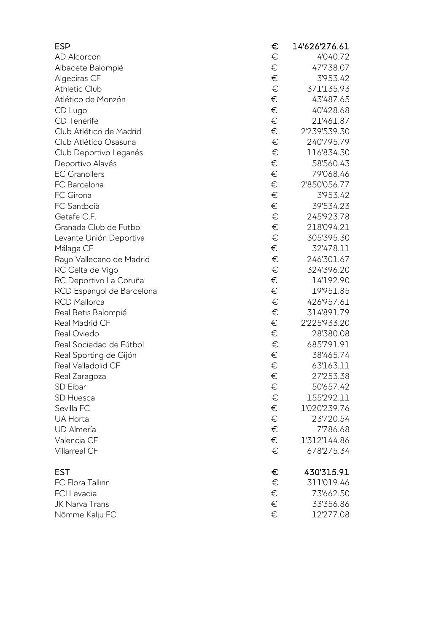| <b>ESP</b>                | €     | 14'626'276.61 |
|---------------------------|-------|---------------|
| AD Alcorcon               | €     | 4'040.72      |
| Albacete Balompié         | €     | 47'738.07     |
| Algeciras CF              | €     | 3'953.42      |
| Athletic Club             | €     | 371'135.93    |
| Atlético de Monzón        | €     | 43'487.65     |
| CD Lugo                   | €     | 40'428.68     |
| CD Tenerife               | €     | 21'461.87     |
| Club Atlético de Madrid   | $\in$ | 2'239'539.30  |
| Club Atlético Osasuna     | €     | 240'795.79    |
| Club Deportivo Leganés    | €     | 116'834.30    |
| Deportivo Alavés          | €     | 58'560.43     |
| <b>EC Granollers</b>      | €     | 79'068.46     |
| FC Barcelona              | €     | 2'850'056.77  |
| FC Girona                 | €     | 3'953.42      |
| FC Santboià               | €     | 39'534.23     |
| Getafe C.F.               | €     | 245'923.78    |
| Granada Club de Futbol    | €     | 218'094.21    |
| Levante Unión Deportiva   | €     | 305'395.30    |
| Málaga CF                 | €     | 32'478.11     |
| Rayo Vallecano de Madrid  | €     | 246'301.67    |
| RC Celta de Vigo          | €     | 324'396.20    |
| RC Deportivo La Coruña    | €     | 14'192.90     |
| RCD Espanyol de Barcelona | €     | 19'951.85     |
| <b>RCD Mallorca</b>       | €     | 426'957.61    |
| Real Betis Balompié       | €     | 314'891.79    |
| <b>Real Madrid CF</b>     | $\in$ | 2'225'933.20  |
| Real Oviedo               | €     | 28'380.08     |
| Real Sociedad de Fútbol   | €     | 685'791.91    |
| Real Sporting de Gijón    | €     | 38'465.74     |
| Real Valladolid CF        | €     | 63'163.11     |
| Real Zaragoza             | €     | 27'253.38     |
| SD Eibar                  | €     | 50'657.42     |
| SD Huesca                 | $\in$ | 155'292.11    |
| Sevilla FC                | $\in$ | 1'020'239.76  |
| UA Horta                  | $\in$ | 23'720.54     |
| <b>UD</b> Almería         | $\in$ | 7'786.68      |
| Valencia CF               | €     | 1'312'144.86  |
| <b>Villarreal CF</b>      | €     | 678'275.34    |
| <b>EST</b>                | €     | 430'315.91    |
| <b>FC Flora Tallinn</b>   | €     | 311'019.46    |
| FCI Levadia               | €     | 73'662.50     |
| JK Narva Trans            | $\in$ | 33'356.86     |
| Nõmme Kalju FC            | €     | 12'277.08     |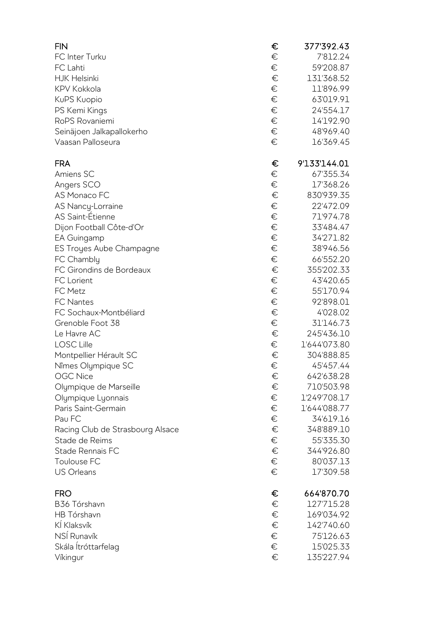| <b>FIN</b>                       | €     | 377'392.43              |
|----------------------------------|-------|-------------------------|
| FC Inter Turku                   | €     | 7'812.24                |
| FC Lahti                         | €     | 59'208.87               |
| <b>HJK Helsinki</b>              | €     | 131'368.52              |
| <b>KPV Kokkola</b>               | €     | 11'896.99               |
| KuPS Kuopio                      | €     | 63'019.91               |
| PS Kemi Kings                    | €     | 24'554.17               |
| RoPS Rovaniemi                   | $\in$ | 14'192.90               |
| Seinäjoen Jalkapallokerho        | $\in$ | 48'969.40               |
| Vaasan Palloseura                | €     | 16'369.45               |
| <b>FRA</b>                       | €     | 9'133'144.01            |
| Amiens SC                        | €     | 67'355.34               |
| Angers SCO                       | €     | 17'368.26               |
| AS Monaco FC                     | €     | 830'939.35              |
| AS Nancy-Lorraine                | €     | 22'472.09               |
| AS Saint-Étienne                 | €     | 71'974.78               |
| Dijon Football Côte-d'Or         | €     | 33'484.47               |
| EA Guingamp                      | €     | 34'271.82               |
| ES Troyes Aube Champagne         | €     | 38'946.56               |
| FC Chambly                       | €     | 66'552.20               |
| FC Girondins de Bordeaux         | €     | 355'202.33              |
| FC Lorient                       | €     | 43'420.65               |
| FC Metz                          | €     | 55'170.94               |
| <b>FC Nantes</b>                 | €     | 92'898.01               |
| FC Sochaux-Montbéliard           | $\in$ | 4'028.02                |
| Grenoble Foot 38                 | €     | 31'146.73               |
| Le Havre AC                      | €     | 245'436.10              |
| <b>LOSC Lille</b>                | €     | 1'644'073.80            |
| Montpellier Hérault SC           | €     | 304'888.85              |
|                                  | €     |                         |
| Nîmes Olympique SC               |       | 45'457.44<br>642'638.28 |
| <b>OGC Nice</b>                  | €     |                         |
| Olympique de Marseille           | €     | 710'503.98              |
| Olympique Lyonnais               | €     | 1'249'708.17            |
| Paris Saint-Germain              | $\in$ | 1'644'088.77            |
| Pau FC                           | €     | 34'619.16               |
| Racing Club de Strasbourg Alsace | €     | 348'889.10              |
| Stade de Reims                   | €     | 55'335.30               |
| Stade Rennais FC                 | €     | 344'926.80              |
| Toulouse FC                      | €     | 80'037.13               |
| <b>US Orleans</b>                | €     | 17'309.58               |
| <b>FRO</b>                       | €     | 664'870.70              |
| B36 Tórshavn                     | €     | 127'715.28              |
| HB Tórshavn                      | €     | 169'034.92              |
| KÍ Klaksvík                      | €     | 142'740.60              |
| NSÍ Runavík                      | €     | 75'126.63               |
| Skála Ítróttarfelag              | €     | 15'025.33               |
| Víkingur                         | €     | 135'227.94              |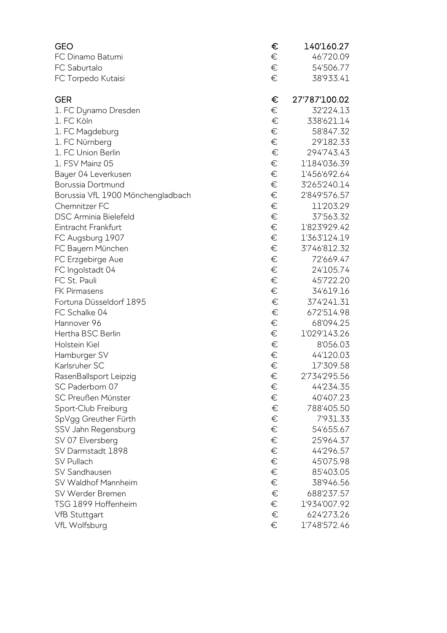| <b>GEO</b>                        | €     | 140'160.27    |
|-----------------------------------|-------|---------------|
| FC Dinamo Batumi                  | €     | 46'720.09     |
| FC Saburtalo                      | €     | 54'506.77     |
| FC Torpedo Kutaisi                | €     | 38'933.41     |
| <b>GER</b>                        | €     | 27'787'100.02 |
| 1. FC Dynamo Dresden              | €     | 32'224.13     |
| 1. FC Köln                        | €     | 338'621.14    |
| 1. FC Magdeburg                   | €     | 58'847.32     |
| 1. FC Nürnberg                    | $\in$ | 29'182.33     |
| 1. FC Union Berlin                | $\in$ | 294'743.43    |
| 1. FSV Mainz 05                   | €     | 1'184'036.39  |
| Bayer 04 Leverkusen               | €     | 1'456'692.64  |
| Borussia Dortmund                 | $\in$ | 3'265'240.14  |
| Borussia VfL 1900 Mönchengladbach | $\in$ | 2'849'576.57  |
| Chemnitzer FC                     | €     | 11'203.29     |
| <b>DSC Arminia Bielefeld</b>      | $\in$ | 37'563.32     |
| Eintracht Frankfurt               | $\in$ | 1'823'929.42  |
| FC Augsburg 1907                  | $\in$ | 1'363'124.19  |
| FC Bayern München                 | $\in$ | 3'746'812.32  |
| FC Erzgebirge Aue                 | €     | 72'669.47     |
| FC Ingolstadt 04                  | €     | 24'105.74     |
| FC St. Pauli                      | €     | 45'722.20     |
| <b>FK Pirmasens</b>               | $\in$ | 34'619.16     |
| Fortuna Düsseldorf 1895           | $\in$ | 374'241.31    |
| FC Schalke 04                     | €     | 672'514.98    |
| Hannover 96                       | €     | 68'094.25     |
| Hertha BSC Berlin                 | $\in$ | 1'029'143.26  |
| Holstein Kiel                     | €     | 8'056.03      |
| Hamburger SV                      | €     | 44'120.03     |
| Karlsruher SC                     | €     | 17'309.58     |
| RasenBallsport Leipzig            | €     | 2'734'295.56  |
| SC Paderborn 07                   | €     | 44'234.35     |
| SC Preußen Münster                | €     | 40'407.23     |
| Sport-Club Freiburg               | €     | 788'405.50    |
| SpVgg Greuther Fürth              | €     | 7'931.33      |
| SSV Jahn Regensburg               | €     | 54'655.67     |
| SV 07 Elversberg                  | €     | 25'964.37     |
| SV Darmstadt 1898                 | €     | 44'296.57     |
| SV Pullach                        | €     | 45'075.98     |
| SV Sandhausen                     | €     | 85'403.05     |
| SV Waldhof Mannheim               | €     | 38'946.56     |
| SV Werder Bremen                  | €     | 688'237.57    |
| TSG 1899 Hoffenheim               | €     | 1'934'007.92  |
| <b>VfB Stuttgart</b>              | €     | 624'273.26    |
| VfL Wolfsburg                     | €     | 1'748'572.46  |
|                                   |       |               |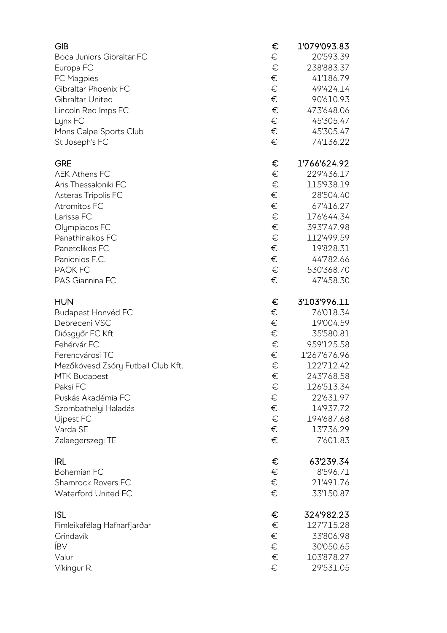| <b>GIB</b>                         | €      | 1'079'093.83                          |
|------------------------------------|--------|---------------------------------------|
| Boca Juniors Gibraltar FC          | €      | 20'593.39                             |
| Europa FC                          | €      | 238'883.37                            |
| FC Magpies                         | €      | 41'186.79                             |
| Gibraltar Phoenix FC               | €      | 49'424.14                             |
| Gibraltar United                   | €      | 90'610.93                             |
| Lincoln Red Imps FC                | €      | 473'648.06                            |
| Lynx FC                            | €      | 45'305.47                             |
| Mons Calpe Sports Club             | €      | 45'305.47                             |
| St Joseph's FC                     | €      | 74'136.22                             |
| <b>GRE</b>                         | €      | 1'766'624.92                          |
| <b>AEK Athens FC</b>               | €      | 229'436.17                            |
| Aris Thessaloniki FC               | €      | 115'938.19                            |
| Asteras Tripolis FC                | €      | 28'504.40                             |
| Atromitos FC                       | €      | 67'416.27                             |
| Larissa FC                         | €      | 176'644.34                            |
| Olympiacos FC                      | €      | 393'747.98                            |
| Panathinaikos FC                   | €      | 112'499.59                            |
| Panetolikos FC                     | €      | 19'828.31                             |
| Panionios F.C.                     | €      | 44'782.66                             |
| <b>PAOK FC</b>                     | €      | 530'368.70                            |
| PAS Giannina FC                    | €      | 47'458.30                             |
| <b>HUN</b>                         | €      | 3'103'996.11                          |
| <b>Budapest Honvéd FC</b>          | €      | 76'018.34                             |
| Debreceni VSC                      | €      | 19'004.59                             |
| Diósgyőr FC Kft                    | €      | 35'580.81                             |
| Fehérvár FC                        | €      | 959'125.58                            |
| Ferencvárosi TC                    | €      | 1'267'676.96                          |
| Mezőkövesd Zsóry Futball Club Kft. | €      | 122'712.42                            |
| <b>MTK Budapest</b>                | €      | 243'768.58                            |
| Paksi FC                           | €      | 126'513.34                            |
| Puskás Akadémia FC                 | €      | 22'631.97                             |
|                                    |        |                                       |
| Szombathelyi Haladás               | €      | 14'937.72                             |
| Újpest FC                          | €      | 194'687.68                            |
| Varda SE                           | €      | 13'736.29                             |
| Zalaegerszegi TE                   | €      | 7'601.83                              |
| <b>IRL</b>                         | €      | 63'239.34                             |
| <b>Bohemian FC</b>                 | $\in$  | 8'596.71                              |
| Shamrock Rovers FC                 | €      | 21'491.76                             |
| Waterford United FC                | €      |                                       |
| <b>ISL</b>                         | €      |                                       |
| Fimleikafélag Hafnarfjarðar        | €      | 33'150.87<br>324'982.23<br>127'715.28 |
| Grindavík                          | €      |                                       |
| <b>IBV</b>                         | €      | 33'806.98<br>30'050.65                |
| Valur<br>Víkingur R.               | €<br>€ | 103'878.27<br>29'531.05               |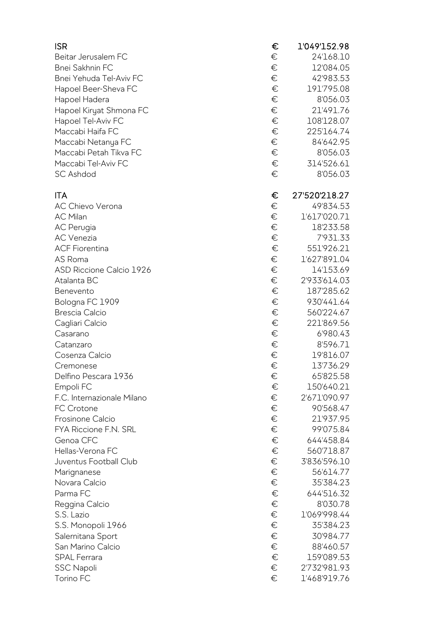| <b>ISR</b>                      | €     | 1'049'152.98  |
|---------------------------------|-------|---------------|
| Beitar Jerusalem FC             | €     | 24'168.10     |
| <b>Bnei Sakhnin FC</b>          | €     | 12'084.05     |
| Bnei Yehuda Tel-Aviv FC         | €     | 42'983.53     |
| Hapoel Beer-Sheva FC            | €     | 191'795.08    |
| Hapoel Hadera                   | €     | 8'056.03      |
| Hapoel Kiryat Shmona FC         | €     | 21'491.76     |
| Hapoel Tel-Aviv FC              | €     | 108'128.07    |
| Maccabi Haifa FC                | €     | 225'164.74    |
| Maccabi Netanya FC              | €     | 84'642.95     |
| Maccabi Petah Tikva FC          | €     | 8'056.03      |
| Maccabi Tel-Aviv FC             | $\in$ | 314'526.61    |
| <b>SC Ashdod</b>                | €     | 8'056.03      |
| <b>ITA</b>                      | €     | 27'520'218.27 |
| <b>AC Chievo Verona</b>         | €     | 49'834.53     |
| <b>AC Milan</b>                 | $\in$ | 1'617'020.71  |
| <b>AC</b> Perugia               | €     | 18'233.58     |
| <b>AC</b> Venezia               | €     | 7'931.33      |
| <b>ACF Fiorentina</b>           | €     | 551'926.21    |
| AS Roma                         | $\in$ | 1'627'891.04  |
| <b>ASD Riccione Calcio 1926</b> | €     | 14'153.69     |
| Atalanta BC                     | $\in$ | 2'933'614.03  |
| Benevento                       | €     | 187'285.62    |
| Bologna FC 1909                 | €     | 930'441.64    |
| <b>Brescia Calcio</b>           | €     | 560'224.67    |
| Cagliari Calcio                 | €     | 221'869.56    |
| Casarano                        | €     | 6'980.43      |
| Catanzaro                       | €     | 8'596.71      |
| Cosenza Calcio                  | €     | 19'816.07     |
| Cremonese                       | €     | 13'736.29     |
| Delfino Pescara 1936            | €     | 65'825.58     |
| Empoli FC                       | €     | 150'640.21    |
| F.C. Internazionale Milano      | €     | 2'671'090.97  |
| FC Crotone                      | €     | 90'568.47     |
| <b>Frosinone Calcio</b>         | €     | 21'937.95     |
| FYA Riccione F.N. SRL           | €     | 99'075.84     |
| Genoa CFC                       | €     | 644'458.84    |
| Hellas-Verona FC                | €     | 560'718.87    |
| Juventus Football Club          | €     | 3'836'596.10  |
| Marignanese                     | €     | 56'614.77     |
| Novara Calcio                   | €     | 35'384.23     |
| Parma FC                        | €     | 644'516.32    |
| Reggina Calcio                  | €     | 8'030.78      |
| S.S. Lazio                      | €     | 1'069'998.44  |
| S.S. Monopoli 1966              | €     | 35'384.23     |
| Salernitana Sport               | €     | 30'984.77     |
| San Marino Calcio               | €     | 88'460.57     |
| <b>SPAL Ferrara</b>             | $\in$ | 159'089.53    |
| <b>SSC Napoli</b>               | €     | 2'732'981.93  |
| Torino FC                       | €     | 1'468'919.76  |
|                                 |       |               |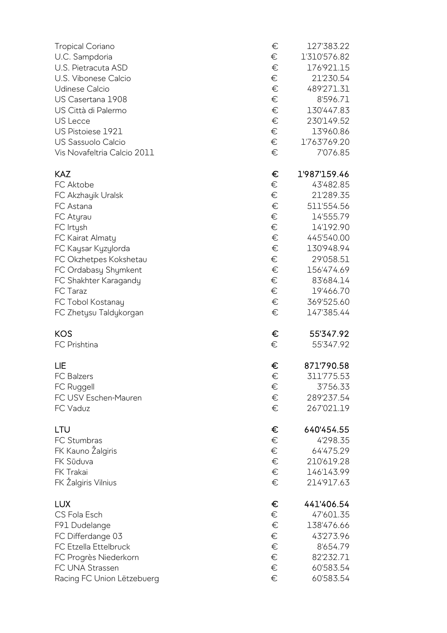| <b>Tropical Coriano</b>     | €     | 127'383.22   |
|-----------------------------|-------|--------------|
| U.C. Sampdoria              | €     | 1'310'576.82 |
| U.S. Pietracuta ASD         | €     | 176'921.15   |
| U.S. Vibonese Calcio        | €     | 21'230.54    |
| <b>Udinese Calcio</b>       | €     | 489'271.31   |
| US Casertana 1908           | €     | 8'596.71     |
| US Città di Palermo         | €     | 130'447.83   |
| US Lecce                    | €     | 230'149.52   |
| US Pistoiese 1921           | €     | 13'960.86    |
| US Sassuolo Calcio          | €     | 1'763'769.20 |
| Vis Novafeltria Calcio 2011 | €     | 7'076.85     |
| <b>KAZ</b>                  | €     | 1'987'159.46 |
| FC Aktobe                   | €     | 43'482.85    |
| FC Akzhayik Uralsk          | €     | 21'289.35    |
| FC Astana                   | $\in$ | 511'554.56   |
| FC Atyrau                   | €     | 14'555.79    |
| FC Irtysh                   | €     | 14'192.90    |
| FC Kairat Almaty            | $\in$ | 445'540.00   |
| FC Kaysar Kyzylorda         | €     | 130'948.94   |
| FC Okzhetpes Kokshetau      | €     | 29'058.51    |
| FC Ordabasy Shymkent        | €     | 156'474.69   |
| FC Shakhter Karagandy       | €     | 83'684.14    |
| FC Taraz                    | €     | 19'466.70    |
| FC Tobol Kostanay           | €     | 369'525.60   |
| FC Zhetysu Taldykorgan      | €     | 147'385.44   |
| <b>KOS</b>                  | €     | 55'347.92    |
| FC Prishtina                | €     | 55'347.92    |
| LIE                         | €     | 871'790.58   |
| <b>FC Balzers</b>           | €     | 311'775.53   |
| FC Ruggell                  | €     | 3'756.33     |
| FC USV Eschen-Mauren        | €     | 289'237.54   |
| FC Vaduz                    | €     | 267'021.19   |
| LTU                         | €     | 640'454.55   |
| FC Stumbras                 | $\in$ | 4'298.35     |
| FK Kauno Žalgiris           | €     | 64'475.29    |
| FK Sūduva                   | €     | 210'619.28   |
| FK Trakai                   | €     | 146'143.99   |
| FK Žalgiris Vilnius         | €     | 214'917.63   |
| <b>LUX</b>                  | €     | 441'406.54   |
| CS Fola Esch                | €     | 47'601.35    |
| F91 Dudelange               | €     | 138'476.66   |
| FC Differdange 03           | €     | 43'273.96    |
| FC Etzella Ettelbruck       | €     | 8'654.79     |
| FC Progrès Niederkorn       | €     | 82'232.71    |
| FC UNA Strassen             | €     | 60'583.54    |
| Racing FC Union Lëtzebuerg  | €     | 60'583.54    |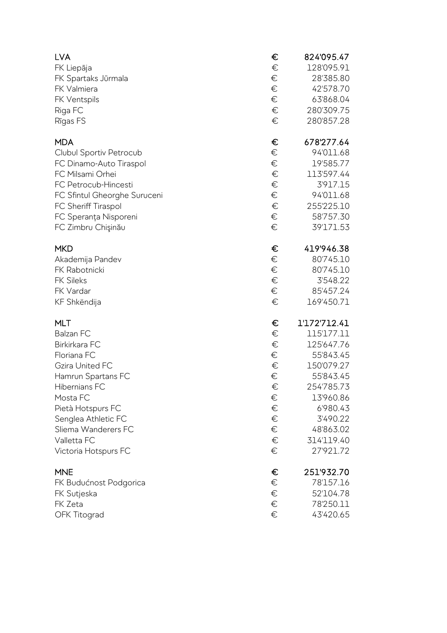| <b>LVA</b><br>FK Liepāja<br>FK Spartaks Jūrmala<br>FK Valmiera<br>FK Ventspils<br>Riga FC<br>Rīgas FS | €<br>€<br>€<br>€<br>€<br>€<br>€ | 824'095.47<br>128'095.91<br>28'385.80<br>42'578.70<br>63'868.04<br>280'309.75<br>280'857.28 |
|-------------------------------------------------------------------------------------------------------|---------------------------------|---------------------------------------------------------------------------------------------|
| <b>MDA</b>                                                                                            | €                               | 678'277.64                                                                                  |
| Clubul Sportiv Petrocub                                                                               | €                               | 94'011.68                                                                                   |
| FC Dinamo-Auto Tiraspol                                                                               | €                               | 19'585.77                                                                                   |
| FC Milsami Orhei                                                                                      | €                               | 113'597.44                                                                                  |
| FC Petrocub-Hincesti                                                                                  | €                               | 3'917.15                                                                                    |
| FC Sfintul Gheorghe Suruceni                                                                          | €                               | 94'011.68                                                                                   |
| FC Sheriff Tiraspol                                                                                   | €                               | 255'225.10                                                                                  |
| FC Speranța Nisporeni                                                                                 | €                               | 58'757.30                                                                                   |
| FC Zimbru Chişinău                                                                                    | €                               | 39'171.53                                                                                   |
| <b>MKD</b>                                                                                            | €                               | 419'946.38                                                                                  |
| Akademija Pandev                                                                                      | €                               | 80'745.10                                                                                   |
| FK Rabotnicki                                                                                         | €                               | 80'745.10                                                                                   |
| <b>FK Sileks</b>                                                                                      | €                               | 3'548.22                                                                                    |
| FK Vardar                                                                                             | €                               | 85'457.24                                                                                   |
| KF Shkëndija                                                                                          | €                               | 169'450.71                                                                                  |
| <b>MLT</b>                                                                                            | €                               | 1'172'712.41                                                                                |
| <b>Balzan FC</b>                                                                                      | €                               | 115'177.11                                                                                  |
| Birkirkara FC                                                                                         | €                               | 125'647.76                                                                                  |
| Floriana FC                                                                                           | €                               | 55'843.45                                                                                   |
| <b>Gzira United FC</b>                                                                                | €                               | 150'079.27                                                                                  |
| Hamrun Spartans FC                                                                                    | €                               | 55'843.45                                                                                   |
| Hibernians FC                                                                                         | €                               | 254'785.73                                                                                  |
| Mosta FC                                                                                              | €                               | 13'960.86                                                                                   |
| Pietà Hotspurs FC                                                                                     | €                               | 6'980.43                                                                                    |
| Senglea Athletic FC                                                                                   | €                               | 3'490.22                                                                                    |
| Sliema Wanderers FC                                                                                   | €                               | 48'863.02                                                                                   |
| Valletta FC                                                                                           | $\in$                           | 314'119.40                                                                                  |
| Victoria Hotspurs FC                                                                                  | €                               | 27'921.72                                                                                   |
| <b>MNE</b>                                                                                            | €                               | 251'932.70                                                                                  |
| FK Budućnost Podgorica                                                                                | €                               | 78'157.16                                                                                   |
| FK Sutjeska                                                                                           | €                               | 52'104.78                                                                                   |
| FK Zeta                                                                                               | €                               | 78'250.11                                                                                   |
| <b>OFK Titograd</b>                                                                                   | €                               | 43'420.65                                                                                   |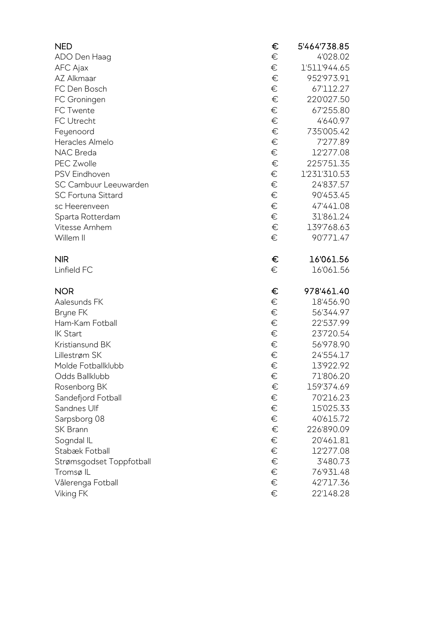| <b>NED</b>                | €     | 5'464'738.85 |
|---------------------------|-------|--------------|
| ADO Den Haag              | €     | 4'028.02     |
| AFC Ajax                  | €     | 1'511'944.65 |
| AZ Alkmaar                | €     | 952'973.91   |
| FC Den Bosch              | €     | 67'112.27    |
| FC Groningen              | $\in$ | 220'027.50   |
| FC Twente                 | €     | 67'255.80    |
| FC Utrecht                | $\in$ | 4'640.97     |
| Feyenoord                 | $\in$ | 735'005.42   |
| Heracles Almelo           | $\in$ | 7'277.89     |
| NAC Breda                 | €     | 12'277.08    |
| <b>PEC Zwolle</b>         | $\in$ | 225'751.35   |
| PSV Eindhoven             | $\in$ | 1'231'310.53 |
| SC Cambuur Leeuwarden     | $\in$ | 24'837.57    |
| <b>SC Fortuna Sittard</b> | €     | 90'453.45    |
| sc Heerenveen             | €     | 47'441.08    |
| Sparta Rotterdam          | €     | 31'861.24    |
| Vitesse Arnhem            | $\in$ | 139'768.63   |
| Willem II                 | €     | 90'771.47    |
| <b>NIR</b>                | €     | 16'061.56    |
| Linfield FC               | €     | 16'061.56    |
| <b>NOR</b>                | €     | 978'461.40   |
| Aalesunds FK              | €     | 18'456.90    |
| Bryne FK                  | €     | 56'344.97    |
| Ham-Kam Fotball           | €     | 22'537.99    |
| <b>IK Start</b>           | $\in$ | 23'720.54    |
| Kristiansund BK           | $\in$ | 56'978.90    |
| Lillestrøm SK             | $\in$ | 24'554.17    |
| Molde Fotballklubb        | €     | 13'922.92    |
| Odds Ballklubb            | €     | 71'806.20    |
| Rosenborg BK              | €     | 159'374.69   |
| Sandefjord Fotball        | €     | 70'216.23    |
| Sandnes Ulf               | €     | 15'025.33    |
| Sarpsborg 08              | €     | 40'615.72    |
| SK Brann                  | $\in$ | 226'890.09   |
| Sogndal IL                | €     | 20'461.81    |
| Stabæk Fotball            | $\in$ | 12'277.08    |
| Strømsgodset Toppfotball  | €     | 3'480.73     |
| Tromsø <sub>IL</sub>      | €     | 76'931.48    |
| Vålerenga Fotball         | €     | 42'717.36    |
| Viking FK                 | €     | 22'148.28    |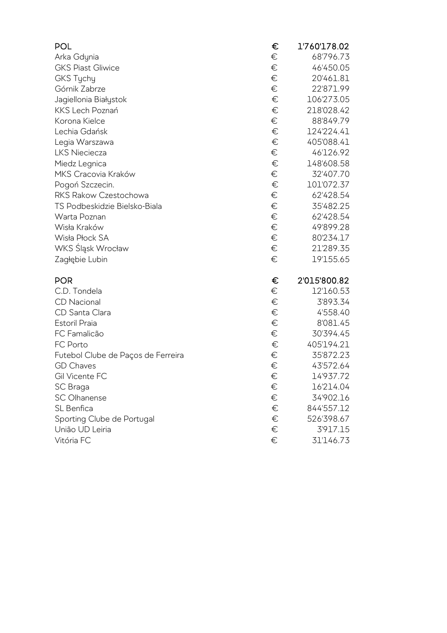| <b>POL</b>                         | €     | 1'760'178.02 |
|------------------------------------|-------|--------------|
| Arka Gdynia                        | €     | 68'796.73    |
| <b>GKS Piast Gliwice</b>           | €     | 46'450.05    |
| GKS Tychy                          | €     | 20'461.81    |
| Górnik Zabrze                      | €     | 22'871.99    |
| Jagiellonia Białystok              | €     | 106'273.05   |
| KKS Lech Poznań                    | €     | 218'028.42   |
| Korona Kielce                      | €     | 88'849.79    |
| Lechia Gdańsk                      | €     | 124'224.41   |
| Legia Warszawa                     | €     | 405'088.41   |
| <b>LKS Nieciecza</b>               | €     | 46'126.92    |
| Miedz Legnica                      | €     | 148'608.58   |
| MKS Cracovia Kraków                | €     | 32'407.70    |
| Pogoń Szczecin.                    | €     | 101'072.37   |
| RKS Rakow Czestochowa              | €     | 62'428.54    |
| TS Podbeskidzie Bielsko-Biala      | €     | 35'482.25    |
| Warta Poznan                       | €     | 62'428.54    |
| Wisła Kraków                       | €     | 49'899.28    |
| Wisła Płock SA                     | €     | 80'234.17    |
| WKS Śląsk Wrocław                  | €     | 21'289.35    |
| Zagłębie Lubin                     | €     | 19'155.65    |
| <b>POR</b>                         | €     | 2'015'800.82 |
| C.D. Tondela                       | €     | 12'160.53    |
| <b>CD</b> Nacional                 | $\in$ | 3'893.34     |
| CD Santa Clara                     | $\in$ | 4'558.40     |
| <b>Estoril Praia</b>               | €     | 8'081.45     |
| FC Famalicão                       | €     | 30'394.45    |
| FC Porto                           | €     | 405'194.21   |
| Futebol Clube de Paços de Ferreira | €     | 35'872.23    |
| <b>GD Chaves</b>                   | €     | 43'572.64    |
| Gil Vicente FC                     | €     | 14'937.72    |
| SC Braga                           | €     | 16'214.04    |
| <b>SC Olhanense</b>                | €     | 34'902.16    |
| SL Benfica                         | €     | 844'557.12   |
| Sporting Clube de Portugal         | €     | 526'398.67   |
| União UD Leiria                    | $\in$ | 3'917.15     |
| Vitória FC                         | €     | 31'146.73    |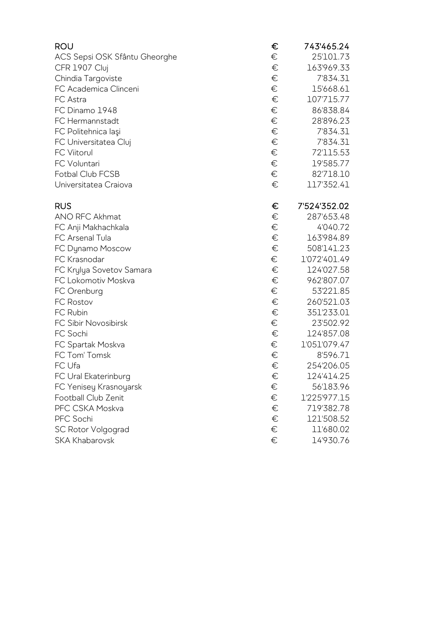| <b>ROU</b>                    | €     | 743'465.24   |
|-------------------------------|-------|--------------|
| ACS Sepsi OSK Sfântu Gheorghe | €     | 25'101.73    |
| CFR 1907 Cluj                 | €     | 163'969.33   |
| Chindia Targoviste            | €     | 7'834.31     |
| FC Academica Clinceni         | €     | 15'668.61    |
| FC Astra                      | €     | 107'715.77   |
| FC Dinamo 1948                | €     | 86'838.84    |
| FC Hermannstadt               | €     | 28'896.23    |
| FC Politehnica laşi           | €     | 7'834.31     |
| FC Universitatea Cluj         | $\in$ | 7'834.31     |
| <b>FC Viitorul</b>            | €     | 72'115.53    |
| FC Voluntari                  | €     | 19'585.77    |
| Fotbal Club FCSB              | €     | 82'718.10    |
| Universitatea Craiova         | €     | 117'352.41   |
| <b>RUS</b>                    | €     | 7'524'352.02 |
| ANO RFC Akhmat                | €     | 287'653.48   |
| FC Anji Makhachkala           | €     | 4'040.72     |
| FC Arsenal Tula               | €     | 163'984.89   |
| FC Dynamo Moscow              | €     | 508'141.23   |
| FC Krasnodar                  | €     | 1'072'401.49 |
| FC Krylya Sovetov Samara      | €     | 124'027.58   |
| FC Lokomotiv Moskva           | €     | 962'807.07   |
| FC Orenburg                   | €     | 53'221.85    |
| <b>FC Rostov</b>              | €     | 260'521.03   |
| FC Rubin                      | €     | 351'233.01   |
| FC Sibir Novosibirsk          | €     | 23'502.92    |
| FC Sochi                      | €     | 124'857.08   |
| FC Spartak Moskva             | €     | 1'051'079.47 |
| FC Tom' Tomsk                 | $\in$ | 8'596.71     |
| FC Ufa                        | €     | 254'206.05   |
| FC Ural Ekaterinburg          | $\in$ | 124'414.25   |
| FC Yenisey Krasnoyarsk        | €     | 56'183.96    |
| Football Club Zenit           | €     | 1'225'977.15 |
| PFC CSKA Moskva               | €     | 719'382.78   |
| PFC Sochi                     | €     | 121'508.52   |
| <b>SC Rotor Volgograd</b>     | €     | 11'680.02    |
| <b>SKA Khabarovsk</b>         | €     | 14'930.76    |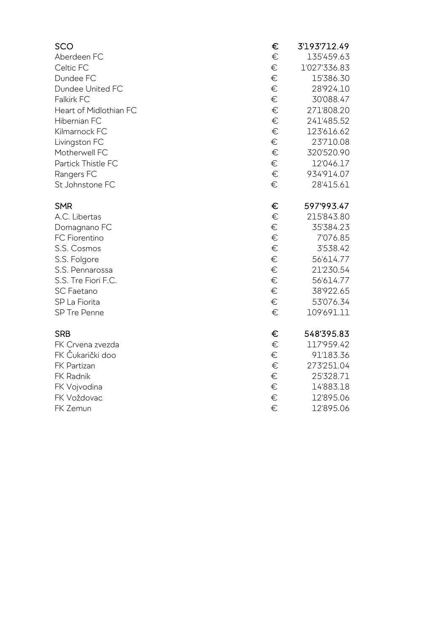| SCO                    | € | 3'193'712.49 |
|------------------------|---|--------------|
| Aberdeen FC            | € | 135'459.63   |
| Celtic FC              | € | 1'027'336.83 |
| Dundee FC              | € | 15'386.30    |
| Dundee United FC       | € | 28'924.10    |
| Falkirk FC             | € | 30'088.47    |
| Heart of Midlothian FC | € | 271'808.20   |
| Hibernian FC           | € | 241'485.52   |
| Kilmarnock FC          | € | 123'616.62   |
| Livingston FC          | € | 23'710.08    |
| Motherwell FC          | € | 320'520.90   |
| Partick Thistle FC     | € | 12'046.17    |
| Rangers FC             | € | 934'914.07   |
| St Johnstone FC        | € | 28'415.61    |
| <b>SMR</b>             | € | 597'993.47   |
| A.C. Libertas          | € | 215'843.80   |
| Domagnano FC           | € | 35'384.23    |
| FC Fiorentino          | € | 7'076.85     |
| S.S. Cosmos            | € | 3'538.42     |
| S.S. Folgore           | € | 56'614.77    |
| S.S. Pennarossa        | € | 21'230.54    |
| S.S. Tre Fiori F.C.    | € | 56'614.77    |
| <b>SC Faetano</b>      | € | 38'922.65    |
| SP La Fiorita          | € | 53'076.34    |
| SP Tre Penne           | € | 109'691.11   |
| <b>SRB</b>             | € | 548'395.83   |
| FK Crvena zvezda       | € | 117'959.42   |
| FK Čukarički doo       | € | 91'183.36    |
| FK Partizan            | € | 273'251.04   |
| FK Radnik              | € | 25'328.71    |
| FK Vojvodina           | € | 14'883.18    |
| FK Voždovac            | € | 12'895.06    |
| FK Zemun               | € | 12'895.06    |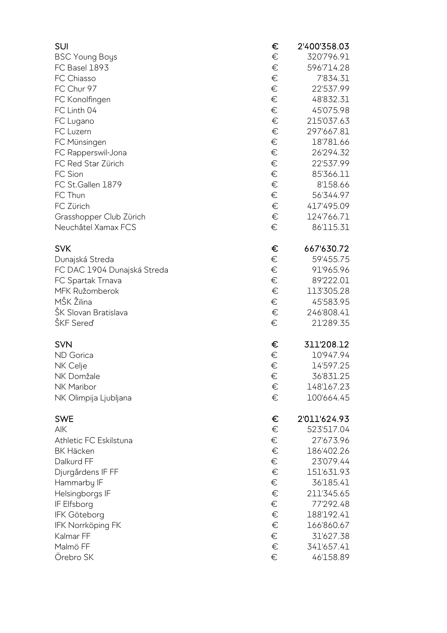| SUI                         | €     | 2'400'358.03 |
|-----------------------------|-------|--------------|
| <b>BSC Young Boys</b>       | €     | 320'796.91   |
| FC Basel 1893               | €     | 596'714.28   |
| FC Chiasso                  | $\in$ | 7'834.31     |
| FC Chur 97                  | €     | 22'537.99    |
| FC Konolfingen              | €     | 48'832.31    |
| FC Linth 04                 | €     | 45'075.98    |
| FC Lugano                   | €     | 215'037.63   |
| FC Luzern                   | €     | 297'667.81   |
| FC Münsingen                | €     | 18'781.66    |
| FC Rapperswil-Jona          | €     | 26'294.32    |
| FC Red Star Zürich          | €     | 22'537.99    |
| FC Sion                     | €     | 85'366.11    |
| FC St.Gallen 1879           | €     | 8'158.66     |
| FC Thun                     | €     | 56'344.97    |
| FC Zürich                   | €     | 417'495.09   |
| Grasshopper Club Zürich     | €     | 124'766.71   |
| Neuchâtel Xamax FCS         | €     | 86'115.31    |
| <b>SVK</b>                  | €     | 667'630.72   |
| Dunajská Streda             | €     | 59'455.75    |
| FC DAC 1904 Dunajská Streda | €     | 91'965.96    |
| FC Spartak Trnava           | €     | 89'222.01    |
| MFK Ružomberok              | €     | 113'305.28   |
| MŠK Žilina                  | €     | 45'583.95    |
| ŠK Slovan Bratislava        | €     | 246'808.41   |
| ŠKF Sereď                   | €     | 21'289.35    |
| <b>SVN</b>                  | €     | 311'208.12   |
| <b>ND</b> Gorica            | €     | 10'947.94    |
| NK Celje                    | €     | 14'597.25    |
| NK Domžale                  | €     | 36'831.25    |
| NK Maribor                  | €     | 148'167.23   |
| NK Olimpija Ljubljana       | €     | 100'664.45   |
| <b>SWE</b>                  | €     | 2'011'624.93 |
| AIK                         | €     | 523'517.04   |
| Athletic FC Eskilstuna      | €     | 27'673.96    |
| <b>BK Häcken</b>            | €     | 186'402.26   |
| Dalkurd FF                  | €     | 23'079.44    |
| Djurgårdens IF FF           | €     | 151'631.93   |
| Hammarby IF                 | €     | 36'185.41    |
| Helsingborgs IF             | €     | 211'345.65   |
| IF Elfsborg                 | €     | 77'292.48    |
| <b>IFK Göteborg</b>         | €     | 188'192.41   |
| <b>IFK Norrköping FK</b>    | €     | 166'860.67   |
| Kalmar FF                   | €     | 31'627.38    |
| Malmö FF                    | €     | 341'657.41   |
| Örebro SK                   | €     | 46'158.89    |